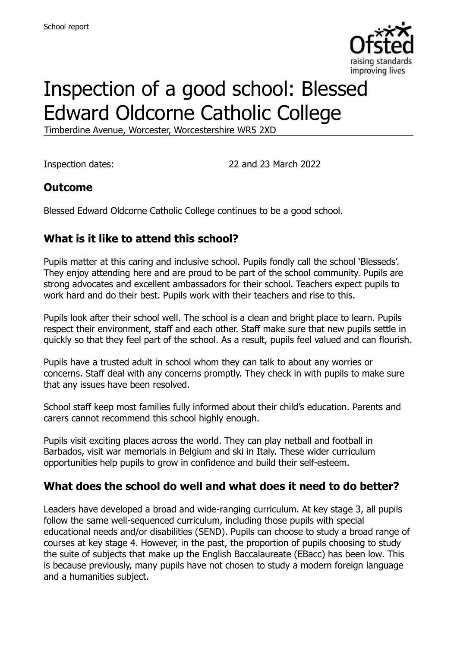

# Inspection of a good school: Blessed Edward Oldcorne Catholic College

Timberdine Avenue, Worcester, Worcestershire WR5 2XD

Inspection dates: 22 and 23 March 2022

#### **Outcome**

Blessed Edward Oldcorne Catholic College continues to be a good school.

### **What is it like to attend this school?**

Pupils matter at this caring and inclusive school. Pupils fondly call the school 'Blesseds'. They enjoy attending here and are proud to be part of the school community. Pupils are strong advocates and excellent ambassadors for their school. Teachers expect pupils to work hard and do their best. Pupils work with their teachers and rise to this.

Pupils look after their school well. The school is a clean and bright place to learn. Pupils respect their environment, staff and each other. Staff make sure that new pupils settle in quickly so that they feel part of the school. As a result, pupils feel valued and can flourish.

Pupils have a trusted adult in school whom they can talk to about any worries or concerns. Staff deal with any concerns promptly. They check in with pupils to make sure that any issues have been resolved.

School staff keep most families fully informed about their child's education. Parents and carers cannot recommend this school highly enough.

Pupils visit exciting places across the world. They can play netball and football in Barbados, visit war memorials in Belgium and ski in Italy. These wider curriculum opportunities help pupils to grow in confidence and build their self-esteem.

#### **What does the school do well and what does it need to do better?**

Leaders have developed a broad and wide-ranging curriculum. At key stage 3, all pupils follow the same well-sequenced curriculum, including those pupils with special educational needs and/or disabilities (SEND). Pupils can choose to study a broad range of courses at key stage 4. However, in the past, the proportion of pupils choosing to study the suite of subjects that make up the English Baccalaureate (EBacc) has been low. This is because previously, many pupils have not chosen to study a modern foreign language and a humanities subject.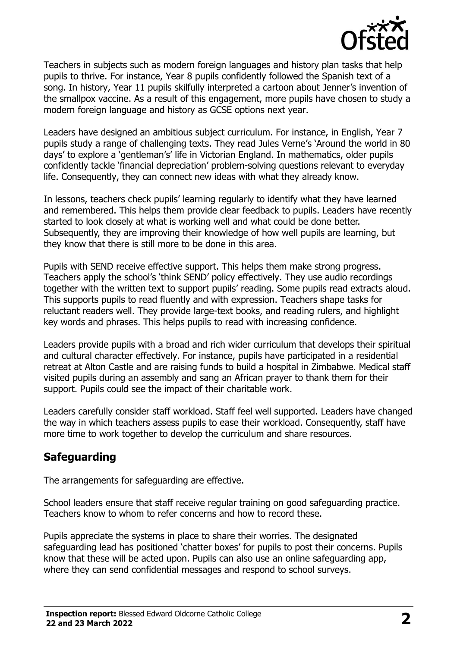

Teachers in subjects such as modern foreign languages and history plan tasks that help pupils to thrive. For instance, Year 8 pupils confidently followed the Spanish text of a song. In history, Year 11 pupils skilfully interpreted a cartoon about Jenner's invention of the smallpox vaccine. As a result of this engagement, more pupils have chosen to study a modern foreign language and history as GCSE options next year.

Leaders have designed an ambitious subject curriculum. For instance, in English, Year 7 pupils study a range of challenging texts. They read Jules Verne's 'Around the world in 80 days' to explore a 'gentleman's' life in Victorian England. In mathematics, older pupils confidently tackle 'financial depreciation' problem-solving questions relevant to everyday life. Consequently, they can connect new ideas with what they already know.

In lessons, teachers check pupils' learning regularly to identify what they have learned and remembered. This helps them provide clear feedback to pupils. Leaders have recently started to look closely at what is working well and what could be done better. Subsequently, they are improving their knowledge of how well pupils are learning, but they know that there is still more to be done in this area.

Pupils with SEND receive effective support. This helps them make strong progress. Teachers apply the school's 'think SEND' policy effectively. They use audio recordings together with the written text to support pupils' reading. Some pupils read extracts aloud. This supports pupils to read fluently and with expression. Teachers shape tasks for reluctant readers well. They provide large-text books, and reading rulers, and highlight key words and phrases. This helps pupils to read with increasing confidence.

Leaders provide pupils with a broad and rich wider curriculum that develops their spiritual and cultural character effectively. For instance, pupils have participated in a residential retreat at Alton Castle and are raising funds to build a hospital in Zimbabwe. Medical staff visited pupils during an assembly and sang an African prayer to thank them for their support. Pupils could see the impact of their charitable work.

Leaders carefully consider staff workload. Staff feel well supported. Leaders have changed the way in which teachers assess pupils to ease their workload. Consequently, staff have more time to work together to develop the curriculum and share resources.

#### **Safeguarding**

The arrangements for safeguarding are effective.

School leaders ensure that staff receive regular training on good safeguarding practice. Teachers know to whom to refer concerns and how to record these.

Pupils appreciate the systems in place to share their worries. The designated safeguarding lead has positioned 'chatter boxes' for pupils to post their concerns. Pupils know that these will be acted upon. Pupils can also use an online safeguarding app, where they can send confidential messages and respond to school surveys.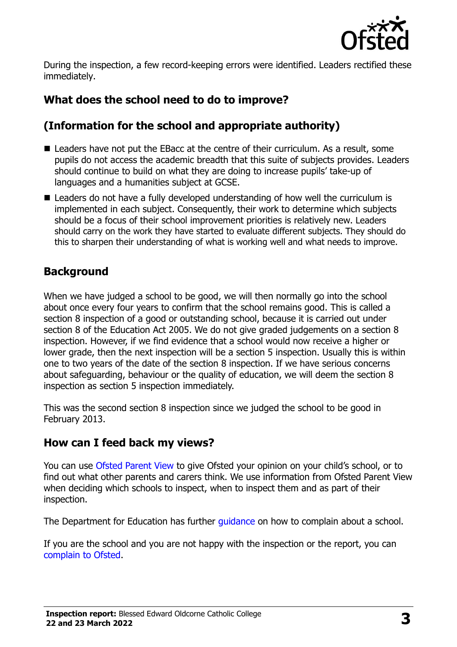

During the inspection, a few record-keeping errors were identified. Leaders rectified these immediately.

# **What does the school need to do to improve?**

# **(Information for the school and appropriate authority)**

- Leaders have not put the EBacc at the centre of their curriculum. As a result, some pupils do not access the academic breadth that this suite of subjects provides. Leaders should continue to build on what they are doing to increase pupils' take-up of languages and a humanities subject at GCSE.
- Leaders do not have a fully developed understanding of how well the curriculum is implemented in each subject. Consequently, their work to determine which subjects should be a focus of their school improvement priorities is relatively new. Leaders should carry on the work they have started to evaluate different subjects. They should do this to sharpen their understanding of what is working well and what needs to improve.

# **Background**

When we have judged a school to be good, we will then normally go into the school about once every four years to confirm that the school remains good. This is called a section 8 inspection of a good or outstanding school, because it is carried out under section 8 of the Education Act 2005. We do not give graded judgements on a section 8 inspection. However, if we find evidence that a school would now receive a higher or lower grade, then the next inspection will be a section 5 inspection. Usually this is within one to two years of the date of the section 8 inspection. If we have serious concerns about safeguarding, behaviour or the quality of education, we will deem the section 8 inspection as section 5 inspection immediately.

This was the second section 8 inspection since we judged the school to be good in February 2013.

# **How can I feed back my views?**

You can use [Ofsted Parent View](https://parentview.ofsted.gov.uk/) to give Ofsted your opinion on your child's school, or to find out what other parents and carers think. We use information from Ofsted Parent View when deciding which schools to inspect, when to inspect them and as part of their inspection.

The Department for Education has further quidance on how to complain about a school.

If you are the school and you are not happy with the inspection or the report, you can [complain to Ofsted.](https://www.gov.uk/complain-ofsted-report)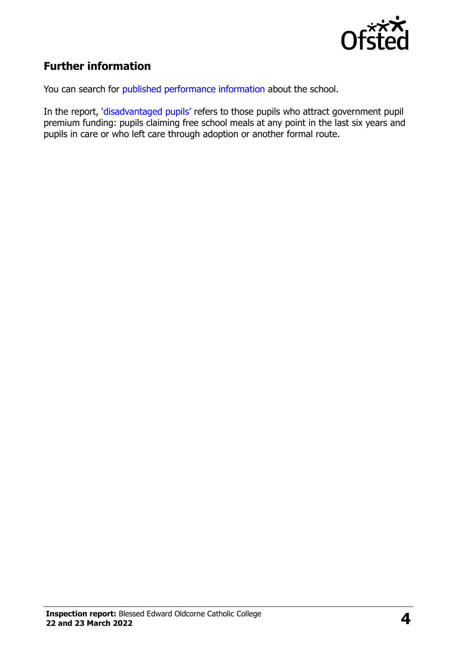

# **Further information**

You can search for [published performance information](http://www.compare-school-performance.service.gov.uk/) about the school.

In the report, '[disadvantaged pupils](http://www.gov.uk/guidance/pupil-premium-information-for-schools-and-alternative-provision-settings)' refers to those pupils who attract government pupil premium funding: pupils claiming free school meals at any point in the last six years and pupils in care or who left care through adoption or another formal route.

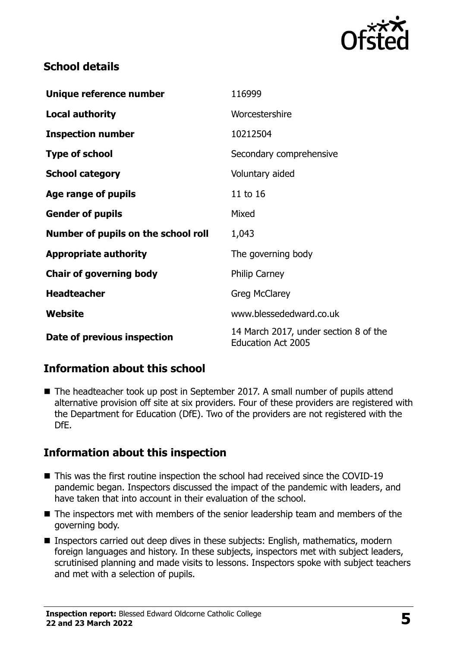

### **School details**

| Unique reference number             | 116999                                                             |
|-------------------------------------|--------------------------------------------------------------------|
| <b>Local authority</b>              | Worcestershire                                                     |
| <b>Inspection number</b>            | 10212504                                                           |
| <b>Type of school</b>               | Secondary comprehensive                                            |
| <b>School category</b>              | Voluntary aided                                                    |
| Age range of pupils                 | 11 to 16                                                           |
| <b>Gender of pupils</b>             | Mixed                                                              |
| Number of pupils on the school roll | 1,043                                                              |
| <b>Appropriate authority</b>        | The governing body                                                 |
| <b>Chair of governing body</b>      | <b>Philip Carney</b>                                               |
| <b>Headteacher</b>                  | <b>Greg McClarey</b>                                               |
| Website                             | www.blessededward.co.uk                                            |
| Date of previous inspection         | 14 March 2017, under section 8 of the<br><b>Education Act 2005</b> |

# **Information about this school**

■ The headteacher took up post in September 2017. A small number of pupils attend alternative provision off site at six providers. Four of these providers are registered with the Department for Education (DfE). Two of the providers are not registered with the DfE.

#### **Information about this inspection**

- This was the first routine inspection the school had received since the COVID-19 pandemic began. Inspectors discussed the impact of the pandemic with leaders, and have taken that into account in their evaluation of the school.
- The inspectors met with members of the senior leadership team and members of the governing body.
- Inspectors carried out deep dives in these subjects: English, mathematics, modern foreign languages and history. In these subjects, inspectors met with subject leaders, scrutinised planning and made visits to lessons. Inspectors spoke with subject teachers and met with a selection of pupils.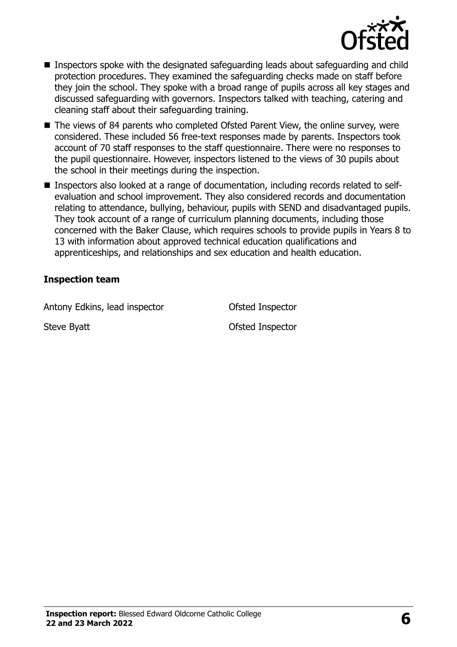

- Inspectors spoke with the designated safeguarding leads about safeguarding and child protection procedures. They examined the safeguarding checks made on staff before they join the school. They spoke with a broad range of pupils across all key stages and discussed safeguarding with governors. Inspectors talked with teaching, catering and cleaning staff about their safeguarding training.
- The views of 84 parents who completed Ofsted Parent View, the online survey, were considered. These included 56 free-text responses made by parents. Inspectors took account of 70 staff responses to the staff questionnaire. There were no responses to the pupil questionnaire. However, inspectors listened to the views of 30 pupils about the school in their meetings during the inspection.
- Inspectors also looked at a range of documentation, including records related to selfevaluation and school improvement. They also considered records and documentation relating to attendance, bullying, behaviour, pupils with SEND and disadvantaged pupils. They took account of a range of curriculum planning documents, including those concerned with the Baker Clause, which requires schools to provide pupils in Years 8 to 13 with information about approved technical education qualifications and apprenticeships, and relationships and sex education and health education.

#### **Inspection team**

Antony Edkins, lead inspector **Contact Contact Contact Contact Contact Contact Contact Contact Contact Contact Contact Contact Contact Contact Contact Contact Contact Contact Contact Contact Contact Contact Contact Contact** 

Steve Byatt **Steve Byatt Ofsted Inspector**